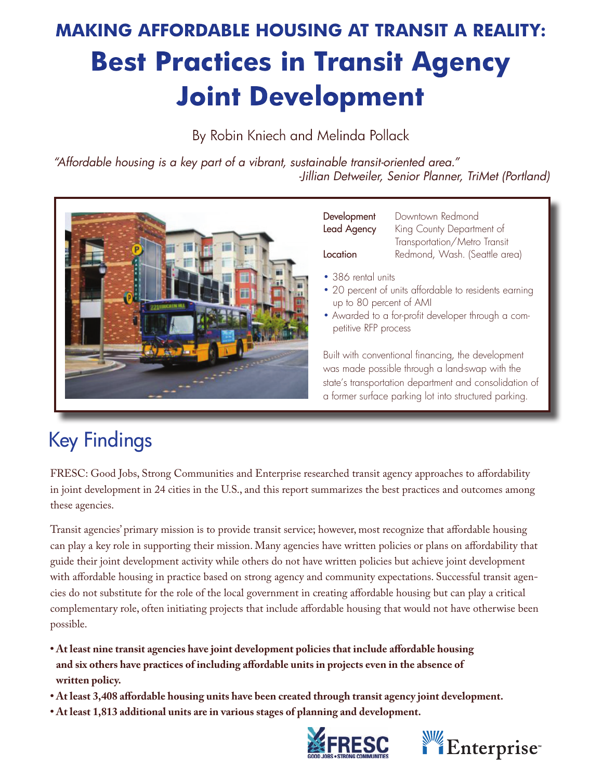### **Making Affordable Housing at Transit a Reality: Best Practices in Transit Agency Joint Development**

By Robin Kniech and Melinda Pollack

*"Affordable housing is a key part of a vibrant, sustainable transit-oriented area." -Jillian Detweiler, Senior Planner, TriMet (Portland)*



Development Downtown Redmond Lead Agency King County Department of Transportation/Metro Transit Location Redmond, Wash. (Seattle area)

- 386 rental units
- 20 percent of units affordable to residents earning up to 80 percent of AMI
- Awarded to a for-profit developer through a competitive RFP process

Built with conventional financing, the development was made possible through a land-swap with the state's transportation department and consolidation of a former surface parking lot into structured parking.

### Key Findings

FRESC: Good Jobs, Strong Communities and Enterprise researched transit agency approaches to affordability in joint development in 24 cities in the U.S., and this report summarizes the best practices and outcomes among these agencies.

Transit agencies' primary mission is to provide transit service; however, most recognize that affordable housing can play a key role in supporting their mission. Many agencies have written policies or plans on affordability that guide their joint development activity while others do not have written policies but achieve joint development with affordable housing in practice based on strong agency and community expectations. Successful transit agencies do not substitute for the role of the local government in creating affordable housing but can play a critical complementary role, often initiating projects that include affordable housing that would not have otherwise been possible.

- **At least nine transit agencies have joint development policies that include affordable housing and six others have practices of including affordable units in projects even in the absence of written policy.**
- **At least 3,408 affordable housing units have been created through transit agency joint development.**
- **At least 1,813 additional units are in various stages of planning and development.**



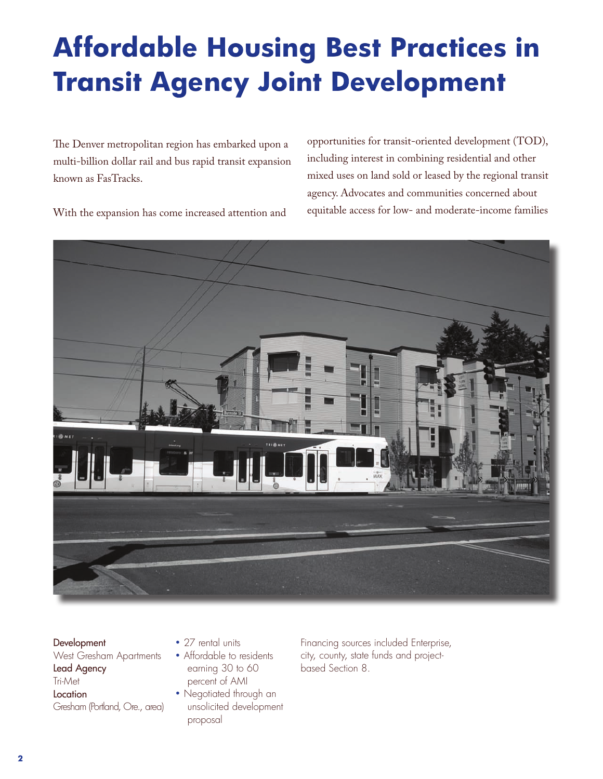## **Affordable Housing Best Practices in Transit Agency Joint Development**

The Denver metropolitan region has embarked upon a multi-billion dollar rail and bus rapid transit expansion known as FasTracks.

opportunities for transit-oriented development (TOD), including interest in combining residential and other mixed uses on land sold or leased by the regional transit agency. Advocates and communities concerned about equitable access for low- and moderate-income families

With the expansion has come increased attention and



**Development** West Gresham Apartments Lead Agency Tri-Met Location Gresham (Portland, Ore., area)

- 27 rental units
- Affordable to residents earning 30 to 60 percent of AMI
- Negotiated through an unsolicited development proposal

Financing sources included Enterprise, city, county, state funds and projectbased Section 8.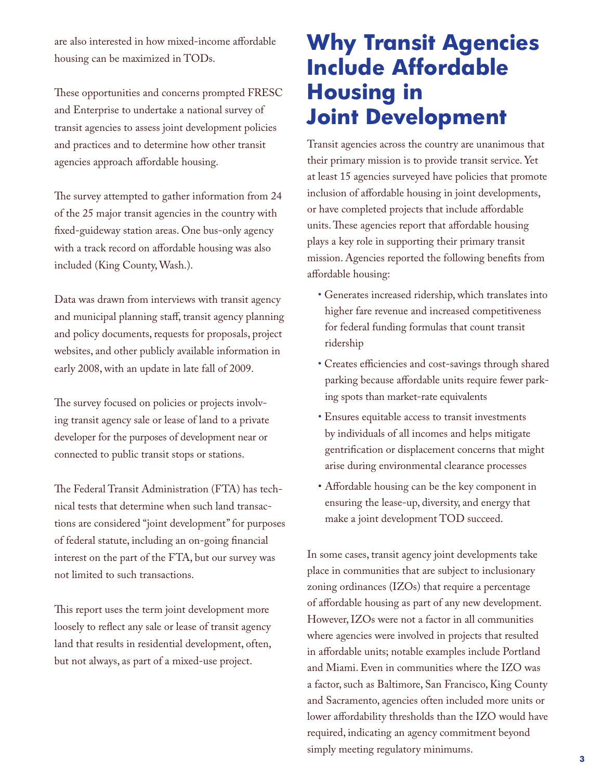are also interested in how mixed-income affordable housing can be maximized in TODs.

These opportunities and concerns prompted FRESC and Enterprise to undertake a national survey of transit agencies to assess joint development policies and practices and to determine how other transit agencies approach affordable housing.

The survey attempted to gather information from 24 of the 25 major transit agencies in the country with fixed-guideway station areas. One bus-only agency with a track record on affordable housing was also included (King County, Wash.).

Data was drawn from interviews with transit agency and municipal planning staff, transit agency planning and policy documents, requests for proposals, project websites, and other publicly available information in early 2008, with an update in late fall of 2009.

The survey focused on policies or projects involving transit agency sale or lease of land to a private developer for the purposes of development near or connected to public transit stops or stations.

The Federal Transit Administration (FTA) has technical tests that determine when such land transactions are considered "joint development" for purposes of federal statute, including an on-going financial interest on the part of the FTA, but our survey was not limited to such transactions.

This report uses the term joint development more loosely to reflect any sale or lease of transit agency land that results in residential development, often, but not always, as part of a mixed-use project.

### **Why Transit Agencies Include Affordable Housing in Joint Development**

Transit agencies across the country are unanimous that their primary mission is to provide transit service. Yet at least 15 agencies surveyed have policies that promote inclusion of affordable housing in joint developments, or have completed projects that include affordable units. These agencies report that affordable housing plays a key role in supporting their primary transit mission. Agencies reported the following benefits from affordable housing:

- Generates increased ridership, which translates into higher fare revenue and increased competitiveness for federal funding formulas that count transit ridership
- Creates efficiencies and cost-savings through shared parking because affordable units require fewer parking spots than market-rate equivalents
- Ensures equitable access to transit investments by individuals of all incomes and helps mitigate gentrification or displacement concerns that might arise during environmental clearance processes
- • Affordable housing can be the key component in ensuring the lease-up, diversity, and energy that make a joint development TOD succeed.

In some cases, transit agency joint developments take place in communities that are subject to inclusionary zoning ordinances (IZOs) that require a percentage of affordable housing as part of any new development. However, IZOs were not a factor in all communities where agencies were involved in projects that resulted in affordable units; notable examples include Portland and Miami. Even in communities where the IZO was a factor, such as Baltimore, San Francisco, King County and Sacramento, agencies often included more units or lower affordability thresholds than the IZO would have required, indicating an agency commitment beyond simply meeting regulatory minimums.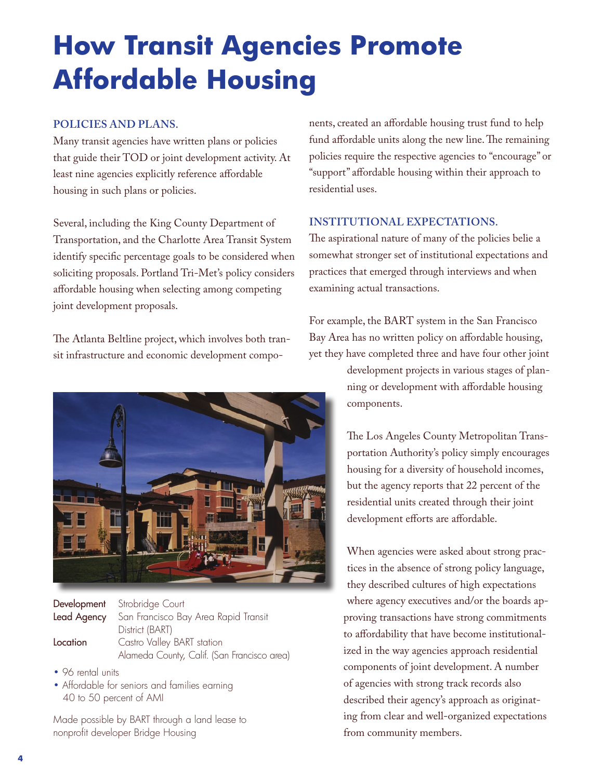## **How Transit Agencies Promote Affordable Housing**

#### **Policies and plans.**

Many transit agencies have written plans or policies that guide their TOD or joint development activity. At least nine agencies explicitly reference affordable housing in such plans or policies.

Several, including the King County Department of Transportation, and the Charlotte Area Transit System identify specific percentage goals to be considered when soliciting proposals. Portland Tri-Met's policy considers affordable housing when selecting among competing joint development proposals.

The Atlanta Beltline project, which involves both transit infrastructure and economic development compo-



Development Strobridge Court Lead Agency San Francisco Bay Area Rapid Transit District (BART) **Location** Castro Valley BART station Alameda County, Calif. (San Francisco area)

- 96 rental units
- Affordable for seniors and families earning 40 to 50 percent of AMI

Made possible by BART through a land lease to nonprofit developer Bridge Housing

nents, created an affordable housing trust fund to help fund affordable units along the new line. The remaining policies require the respective agencies to "encourage" or "support" affordable housing within their approach to residential uses.

#### **Institutional expectations.**

The aspirational nature of many of the policies belie a somewhat stronger set of institutional expectations and practices that emerged through interviews and when examining actual transactions.

For example, the BART system in the San Francisco Bay Area has no written policy on affordable housing, yet they have completed three and have four other joint

> development projects in various stages of planning or development with affordable housing components.

> The Los Angeles County Metropolitan Transportation Authority's policy simply encourages housing for a diversity of household incomes, but the agency reports that 22 percent of the residential units created through their joint development efforts are affordable.

When agencies were asked about strong practices in the absence of strong policy language, they described cultures of high expectations where agency executives and/or the boards approving transactions have strong commitments to affordability that have become institutionalized in the way agencies approach residential components of joint development. A number of agencies with strong track records also described their agency's approach as originating from clear and well-organized expectations from community members.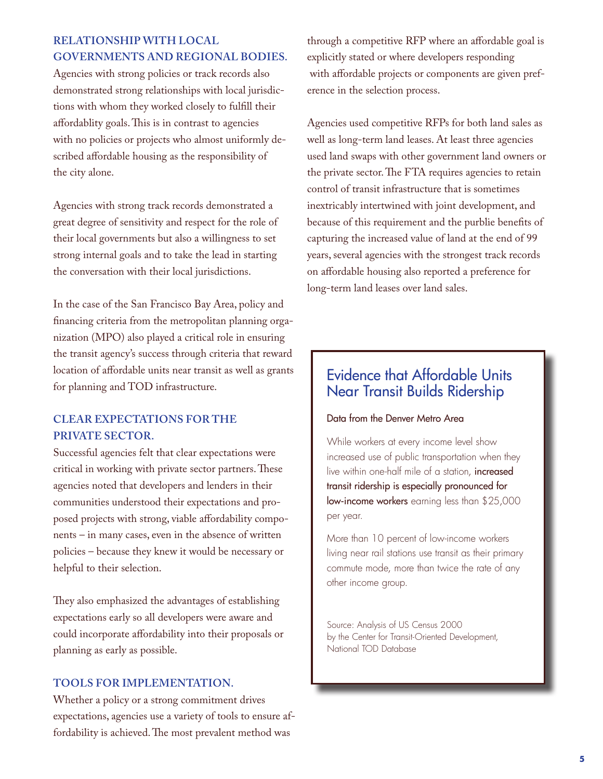#### **Relationship with local governments and regional bodies.**

Agencies with strong policies or track records also demonstrated strong relationships with local jurisdictions with whom they worked closely to fulfill their affordablity goals. This is in contrast to agencies with no policies or projects who almost uniformly described affordable housing as the responsibility of the city alone.

Agencies with strong track records demonstrated a great degree of sensitivity and respect for the role of their local governments but also a willingness to set strong internal goals and to take the lead in starting the conversation with their local jurisdictions.

In the case of the San Francisco Bay Area, policy and financing criteria from the metropolitan planning organization (MPO) also played a critical role in ensuring the transit agency's success through criteria that reward location of affordable units near transit as well as grants for planning and TOD infrastructure.

#### **Clear expectations for the private sector.**

Successful agencies felt that clear expectations were critical in working with private sector partners. These agencies noted that developers and lenders in their communities understood their expectations and proposed projects with strong, viable affordability components – in many cases, even in the absence of written policies – because they knew it would be necessary or helpful to their selection.

They also emphasized the advantages of establishing expectations early so all developers were aware and could incorporate affordability into their proposals or planning as early as possible.

#### **Tools for implementation.**

Whether a policy or a strong commitment drives expectations, agencies use a variety of tools to ensure affordability is achieved. The most prevalent method was

through a competitive RFP where an affordable goal is explicitly stated or where developers responding with affordable projects or components are given preference in the selection process.

Agencies used competitive RFPs for both land sales as well as long-term land leases. At least three agencies used land swaps with other government land owners or the private sector. The FTA requires agencies to retain control of transit infrastructure that is sometimes inextricably intertwined with joint development, and because of this requirement and the purblie benefits of capturing the increased value of land at the end of 99 years, several agencies with the strongest track records on affordable housing also reported a preference for long-term land leases over land sales.

#### Evidence that Affordable Units Near Transit Builds Ridership

#### Data from the Denver Metro Area

While workers at every income level show increased use of public transportation when they live within one-half mile of a station, increased transit ridership is especially pronounced for low-income workers earning less than \$25,000 per year.

More than 10 percent of low-income workers living near rail stations use transit as their primary commute mode, more than twice the rate of any other income group.

Source: Analysis of US Census 2000 by the Center for Transit-Oriented Development, National TOD Database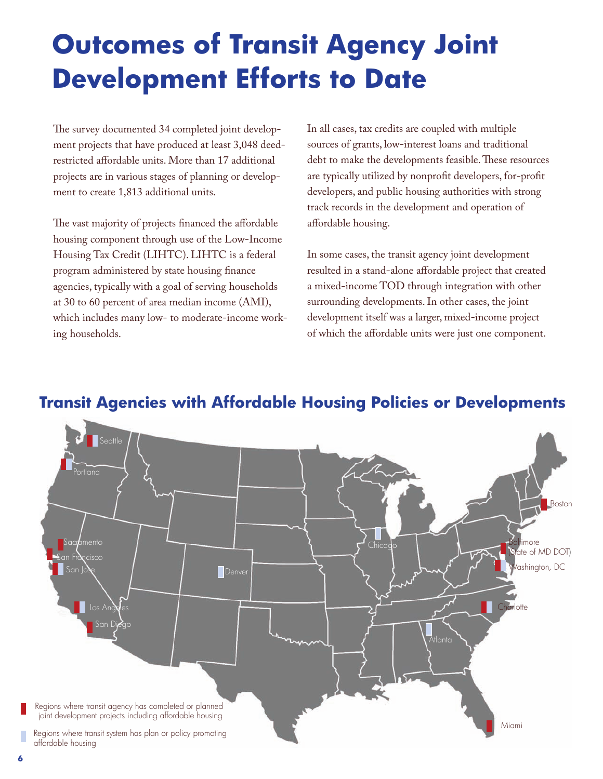### **Outcomes of Transit Agency Joint Development Efforts to Date**

The survey documented 34 completed joint development projects that have produced at least 3,048 deedrestricted affordable units. More than 17 additional projects are in various stages of planning or development to create 1,813 additional units.

The vast majority of projects financed the affordable housing component through use of the Low-Income Housing Tax Credit (LIHTC). LIHTC is a federal program administered by state housing finance agencies, typically with a goal of serving households at 30 to 60 percent of area median income (AMI), which includes many low- to moderate-income working households.

In all cases, tax credits are coupled with multiple sources of grants, low-interest loans and traditional debt to make the developments feasible. These resources are typically utilized by nonprofit developers, for-profit developers, and public housing authorities with strong track records in the development and operation of affordable housing.

In some cases, the transit agency joint development resulted in a stand-alone affordable project that created a mixed-income TOD through integration with other surrounding developments. In other cases, the joint development itself was a larger, mixed-income project of which the affordable units were just one component.



#### **Transit Agencies with Affordable Housing Policies or Developments**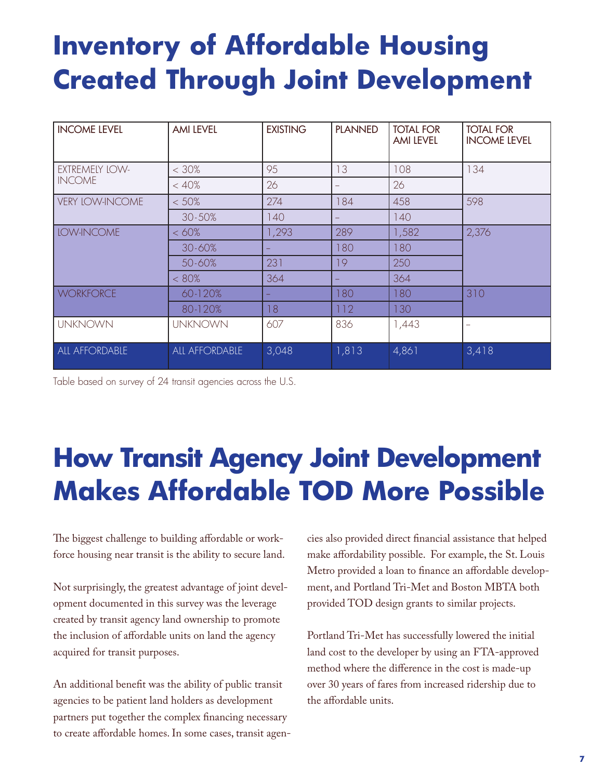### **Inventory of Affordable Housing Created Through Joint Development**

| <b>INCOME LEVEL</b>             | <b>AMI LEVEL</b> | <b>EXISTING</b> | <b>PLANNED</b> | <b>TOTAL FOR</b><br><b>AMI LEVEL</b> | <b>TOTAL FOR</b><br><b>INCOME LEVEL</b> |
|---------------------------------|------------------|-----------------|----------------|--------------------------------------|-----------------------------------------|
|                                 |                  |                 |                |                                      |                                         |
| EXTREMELY LOW-<br><b>INCOME</b> | $< 30\%$         | 95              | 13             | 108                                  | 134                                     |
|                                 | < 40%            | 26              | -              | 26                                   |                                         |
| <b>VERY LOW-INCOME</b>          | $< 50\%$         | 274             | 84             | 458                                  | 598                                     |
|                                 | $30 - 50%$       | 140             |                | 140                                  |                                         |
| LOW-INCOME                      | <60%             | 1,293           | 289            | 1,582                                | 2,376                                   |
|                                 | 30-60%           | -               | 180            | 180                                  |                                         |
|                                 | 50-60%           | 231             | 19             | 250                                  |                                         |
|                                 | < 80%            | 364             |                | 364                                  |                                         |
| <b>WORKFORCE</b>                | 60-120%          | ш,              | 180            | 180                                  | 310                                     |
|                                 | 80-120%          | 18              | 112            | 130                                  |                                         |
| <b>UNKNOWN</b>                  | <b>UNKNOWN</b>   | 607             | 836            | 1,443                                |                                         |
| ALL AFFORDABLE                  | ALL AFFORDABLE   | 3,048           | 1,813          | 4,861                                | 3,418                                   |

Table based on survey of 24 transit agencies across the U.S.

### **How Transit Agency Joint Development Makes Affordable TOD More Possible**

The biggest challenge to building affordable or workforce housing near transit is the ability to secure land.

Not surprisingly, the greatest advantage of joint development documented in this survey was the leverage created by transit agency land ownership to promote the inclusion of affordable units on land the agency acquired for transit purposes.

An additional benefit was the ability of public transit agencies to be patient land holders as development partners put together the complex financing necessary to create affordable homes. In some cases, transit agencies also provided direct financial assistance that helped make affordability possible. For example, the St. Louis Metro provided a loan to finance an affordable development, and Portland Tri-Met and Boston MBTA both provided TOD design grants to similar projects.

Portland Tri-Met has successfully lowered the initial land cost to the developer by using an FTA-approved method where the difference in the cost is made-up over 30 years of fares from increased ridership due to the affordable units.